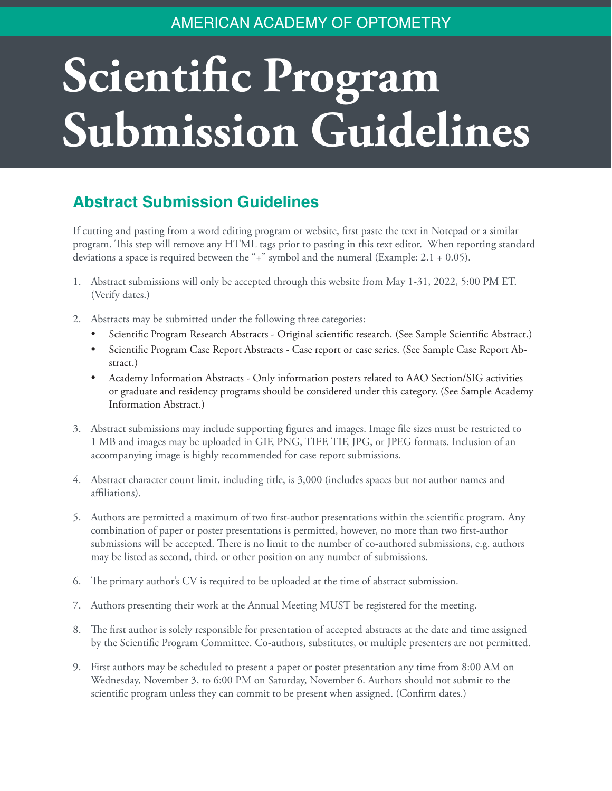## AMERICAN ACADEMY OF OPTOMETRY

## **Scientific Program Submission Guidelines**

## **Abstract Submission Guidelines**

If cutting and pasting from a word editing program or website, first paste the text in Notepad or a similar program. This step will remove any HTML tags prior to pasting in this text editor. When reporting standard deviations a space is required between the "+" symbol and the numeral (Example: 2.1 + 0.05).

- 1. Abstract submissions will only be accepted through this website from May 1-31, 2022, 5:00 PM ET. (Verify dates.)
- 2. Abstracts may be submitted under the following three categories:
	- Scientific Program Research Abstracts Original scientific research. (See Sample Scientific Abstract.)
	- Scientific Program Case Report Abstracts Case report or case series. (See Sample Case Report Abstract.)
	- Academy Information Abstracts Only information posters related to AAO Section/SIG activities or graduate and residency programs should be considered under this category. (See Sample Academy Information Abstract.)
- 3. Abstract submissions may include supporting figures and images. Image file sizes must be restricted to 1 MB and images may be uploaded in GIF, PNG, TIFF, TIF, JPG, or JPEG formats. Inclusion of an accompanying image is highly recommended for case report submissions.
- 4. Abstract character count limit, including title, is 3,000 (includes spaces but not author names and affiliations).
- 5. Authors are permitted a maximum of two first-author presentations within the scientific program. Any combination of paper or poster presentations is permitted, however, no more than two first-author submissions will be accepted. There is no limit to the number of co-authored submissions, e.g. authors may be listed as second, third, or other position on any number of submissions.
- 6. The primary author's CV is required to be uploaded at the time of abstract submission.
- 7. Authors presenting their work at the Annual Meeting MUST be registered for the meeting.
- 8. The first author is solely responsible for presentation of accepted abstracts at the date and time assigned by the Scientific Program Committee. Co-authors, substitutes, or multiple presenters are not permitted.
- 9. First authors may be scheduled to present a paper or poster presentation any time from 8:00 AM on Wednesday, November 3, to 6:00 PM on Saturday, November 6. Authors should not submit to the scientific program unless they can commit to be present when assigned. (Confirm dates.)